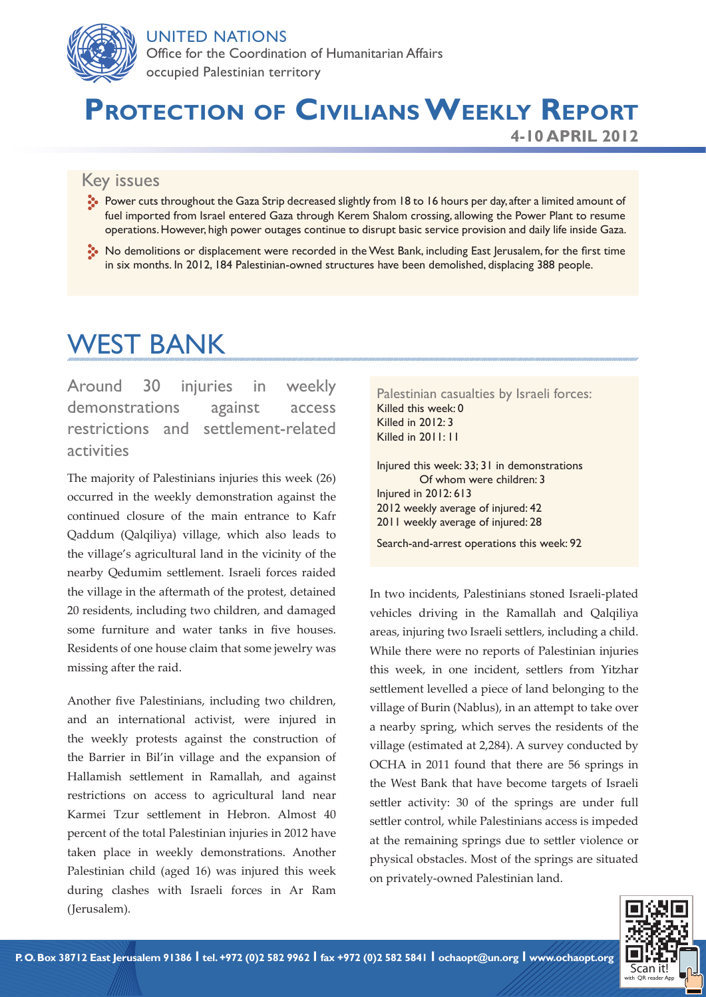

#### UNITED NATIONS

Office for the Coordination of Humanitarian Affairs occupied Palestinian territory

# **Protection of Civilians Weekly Report**

**4-10 APRIL 2012**

#### Key issues

- Power cuts throughout the Gaza Strip decreased slightly from 18 to 16 hours per day, after a limited amount of fuel imported from Israel entered Gaza through Kerem Shalom crossing, allowing the Power Plant to resume operations. However, high power outages continue to disrupt basic service provision and daily life inside Gaza.
- No demolitions or displacement were recorded in the West Bank, including East Jerusalem, for the first time in six months. In 2012, 184 Palestinian-owned structures have been demolished, displacing 388 people.

# WEST BANK

Around 30 injuries in weekly demonstrations against access restrictions and settlement-related activities

The majority of Palestinians injuries this week (26) occurred in the weekly demonstration against the continued closure of the main entrance to Kafr Qaddum (Qalqiliya) village, which also leads to the village's agricultural land in the vicinity of the nearby Qedumim settlement. Israeli forces raided the village in the aftermath of the protest, detained 20 residents, including two children, and damaged some furniture and water tanks in five houses. Residents of one house claim that some jewelry was missing after the raid.

Another five Palestinians, including two children, and an international activist, were injured in the weekly protests against the construction of the Barrier in Bil'in village and the expansion of Hallamish settlement in Ramallah, and against restrictions on access to agricultural land near Karmei Tzur settlement in Hebron. Almost 40 percent of the total Palestinian injuries in 2012 have taken place in weekly demonstrations. Another Palestinian child (aged 16) was injured this week during clashes with Israeli forces in Ar Ram (Jerusalem).

Palestinian casualties by Israeli forces: Killed this week: 0 Killed in 2012: 3 Killed in 2011: 11

Injured this week: 33; 31 in demonstrations Of whom were children: 3 Injured in 2012: 613 2012 weekly average of injured: 42 2011 weekly average of injured: 28

Search-and-arrest operations this week: 92

In two incidents, Palestinians stoned Israeli-plated vehicles driving in the Ramallah and Qalqiliya areas, injuring two Israeli settlers, including a child. While there were no reports of Palestinian injuries this week, in one incident, settlers from Yitzhar settlement levelled a piece of land belonging to the village of Burin (Nablus), in an attempt to take over a nearby spring, which serves the residents of the village (estimated at 2,284). A survey conducted by OCHA in 2011 found that there are 56 springs in the West Bank that have become targets of Israeli settler activity: 30 of the springs are under full settler control, while Palestinians access is impeded at the remaining springs due to settler violence or physical obstacles. Most of the springs are situated on privately-owned Palestinian land.

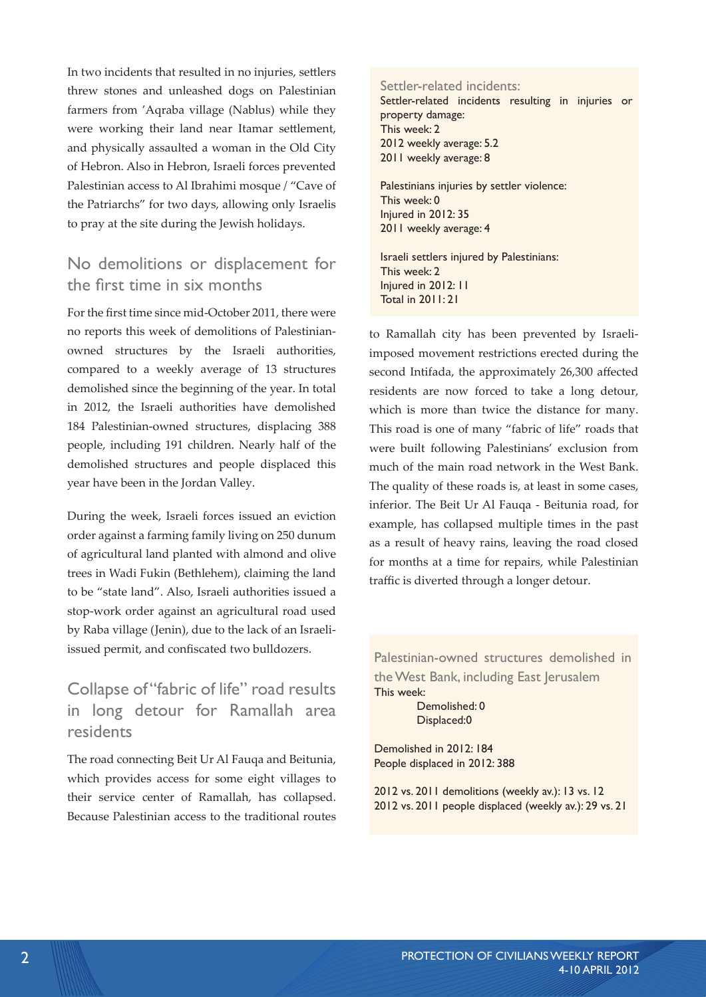In two incidents that resulted in no injuries, settlers threw stones and unleashed dogs on Palestinian farmers from 'Aqraba village (Nablus) while they were working their land near Itamar settlement, and physically assaulted a woman in the Old City of Hebron. Also in Hebron, Israeli forces prevented Palestinian access to Al Ibrahimi mosque / "Cave of the Patriarchs" for two days, allowing only Israelis to pray at the site during the Jewish holidays.

### No demolitions or displacement for the first time in six months

For the first time since mid-October 2011, there were no reports this week of demolitions of Palestinianowned structures by the Israeli authorities, compared to a weekly average of 13 structures demolished since the beginning of the year. In total in 2012, the Israeli authorities have demolished 184 Palestinian-owned structures, displacing 388 people, including 191 children. Nearly half of the demolished structures and people displaced this year have been in the Jordan Valley.

During the week, Israeli forces issued an eviction order against a farming family living on 250 dunum of agricultural land planted with almond and olive trees in Wadi Fukin (Bethlehem), claiming the land to be "state land". Also, Israeli authorities issued a stop-work order against an agricultural road used by Raba village (Jenin), due to the lack of an Israeliissued permit, and confiscated two bulldozers.

## Collapse of "fabric of life" road results in long detour for Ramallah area residents

The road connecting Beit Ur Al Fauqa and Beitunia, which provides access for some eight villages to their service center of Ramallah, has collapsed. Because Palestinian access to the traditional routes Settler-related incidents: Settler-related incidents resulting in injuries or property damage: This week: 2 2012 weekly average: 5.2 2011 weekly average: 8 Palestinians injuries by settler violence:

This week: 0 Injured in 2012: 35 2011 weekly average: 4

Israeli settlers injured by Palestinians: This week: 2 Injured in 2012: 11 Total in 2011: 21

to Ramallah city has been prevented by Israeliimposed movement restrictions erected during the second Intifada, the approximately 26,300 affected residents are now forced to take a long detour, which is more than twice the distance for many. This road is one of many "fabric of life" roads that were built following Palestinians' exclusion from much of the main road network in the West Bank. The quality of these roads is, at least in some cases, inferior. The Beit Ur Al Fauqa - Beitunia road, for example, has collapsed multiple times in the past as a result of heavy rains, leaving the road closed for months at a time for repairs, while Palestinian traffic is diverted through a longer detour.

Palestinian-owned structures demolished in the West Bank, including East Jerusalem This week: Demolished: 0 Displaced:0

Demolished in 2012: 184 People displaced in 2012: 388

2012 vs. 2011 demolitions (weekly av.): 13 vs. 12 2012 vs. 2011 people displaced (weekly av.): 29 vs. 21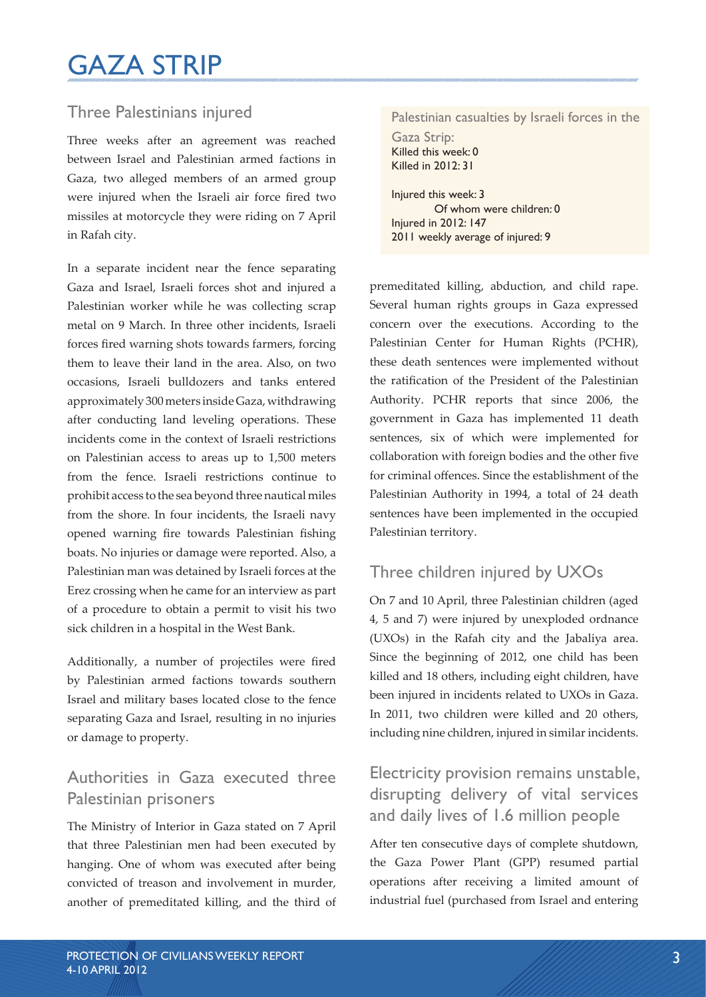# GAZA STRIP

## Three Palestinians injured

Three weeks after an agreement was reached between Israel and Palestinian armed factions in Gaza, two alleged members of an armed group were injured when the Israeli air force fired two missiles at motorcycle they were riding on 7 April in Rafah city.

In a separate incident near the fence separating Gaza and Israel, Israeli forces shot and injured a Palestinian worker while he was collecting scrap metal on 9 March. In three other incidents, Israeli forces fired warning shots towards farmers, forcing them to leave their land in the area. Also, on two occasions, Israeli bulldozers and tanks entered approximately 300 meters inside Gaza, withdrawing after conducting land leveling operations. These incidents come in the context of Israeli restrictions on Palestinian access to areas up to 1,500 meters from the fence. Israeli restrictions continue to prohibit access to the sea beyond three nautical miles from the shore. In four incidents, the Israeli navy opened warning fire towards Palestinian fishing boats. No injuries or damage were reported. Also, a Palestinian man was detained by Israeli forces at the Erez crossing when he came for an interview as part of a procedure to obtain a permit to visit his two sick children in a hospital in the West Bank.

Additionally, a number of projectiles were fired by Palestinian armed factions towards southern Israel and military bases located close to the fence separating Gaza and Israel, resulting in no injuries or damage to property.

# Authorities in Gaza executed three Palestinian prisoners

The Ministry of Interior in Gaza stated on 7 April that three Palestinian men had been executed by hanging. One of whom was executed after being convicted of treason and involvement in murder, another of premeditated killing, and the third of

#### Palestinian casualties by Israeli forces in the Gaza Strip: Killed this week: 0 Killed in 2012: 31

Injured this week: 3 Of whom were children: 0 Injured in 2012: 147 2011 weekly average of injured: 9

premeditated killing, abduction, and child rape. Several human rights groups in Gaza expressed concern over the executions. According to the Palestinian Center for Human Rights (PCHR), these death sentences were implemented without the ratification of the President of the Palestinian Authority. PCHR reports that since 2006, the government in Gaza has implemented 11 death sentences, six of which were implemented for collaboration with foreign bodies and the other five for criminal offences. Since the establishment of the Palestinian Authority in 1994, a total of 24 death sentences have been implemented in the occupied Palestinian territory.

### Three children injured by UXOs

On 7 and 10 April, three Palestinian children (aged 4, 5 and 7) were injured by unexploded ordnance (UXOs) in the Rafah city and the Jabaliya area. Since the beginning of 2012, one child has been killed and 18 others, including eight children, have been injured in incidents related to UXOs in Gaza. In 2011, two children were killed and 20 others, including nine children, injured in similar incidents.

Electricity provision remains unstable, disrupting delivery of vital services and daily lives of 1.6 million people

After ten consecutive days of complete shutdown, the Gaza Power Plant (GPP) resumed partial operations after receiving a limited amount of industrial fuel (purchased from Israel and entering